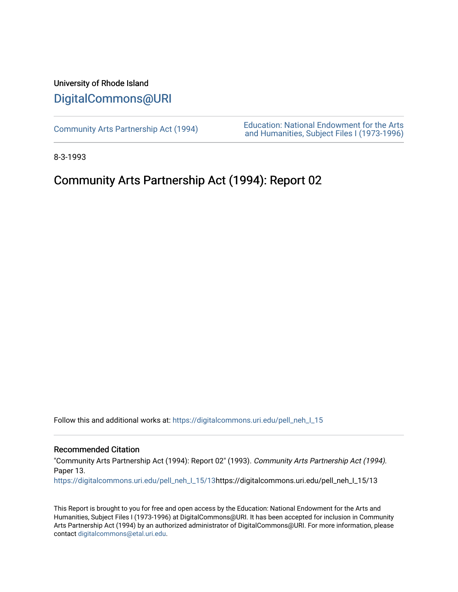### University of Rhode Island [DigitalCommons@URI](https://digitalcommons.uri.edu/)

[Community Arts Partnership Act \(1994\)](https://digitalcommons.uri.edu/pell_neh_I_15) [Education: National Endowment for the Arts](https://digitalcommons.uri.edu/pell_neh_I)  [and Humanities, Subject Files I \(1973-1996\)](https://digitalcommons.uri.edu/pell_neh_I) 

8-3-1993

## Community Arts Partnership Act (1994): Report 02

Follow this and additional works at: https://digitalcommons.uri.edu/pell\_neh\_I\_15

#### Recommended Citation

"Community Arts Partnership Act (1994): Report 02" (1993). Community Arts Partnership Act (1994). Paper 13.

[https://digitalcommons.uri.edu/pell\\_neh\\_I\\_15/13h](https://digitalcommons.uri.edu/pell_neh_I_15/13?utm_source=digitalcommons.uri.edu%2Fpell_neh_I_15%2F13&utm_medium=PDF&utm_campaign=PDFCoverPages)ttps://digitalcommons.uri.edu/pell\_neh\_I\_15/13

This Report is brought to you for free and open access by the Education: National Endowment for the Arts and Humanities, Subject Files I (1973-1996) at DigitalCommons@URI. It has been accepted for inclusion in Community Arts Partnership Act (1994) by an authorized administrator of DigitalCommons@URI. For more information, please contact [digitalcommons@etal.uri.edu.](mailto:digitalcommons@etal.uri.edu)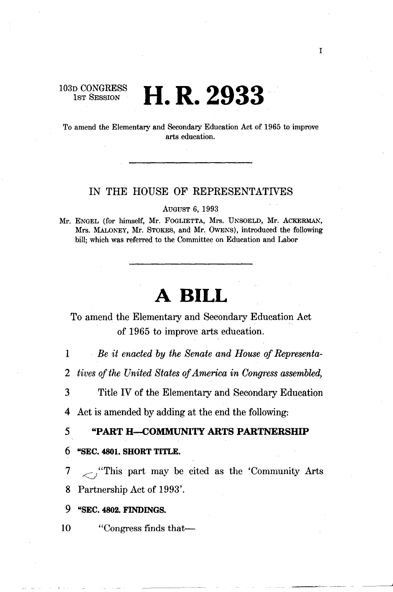103D CONGRESS<br>1st Session

# **H.R. 2933**

To amend the Elementary and Secondary Education Act of 1965 to improve arts education.

#### IN THE HOUSE OF REPRESENTATIVES

AUGUST 6, 1993

Mr. ENGEL (for himself, Mr. FOGLIETTA, Mrs. UNSOELD, Mr. ACKERMAN, Mrs. MALONEY, Mr. STOKES, and Mr. OWENS), introduced the following bill; which was referred to the Committee on Education and Labor

# **A BILL**

To amend the Elementary and Secondary Education Act of !965 to improve arts education.

1 *Be it enacted by the Senate and House of Representa-*

2 *tives of the United States of America in Congress assembled,* 

3 Title IV of the Elementary and Secondary Education

4 Act is amended by adding at the end the following:

#### 5 "PART H--COMMUNITY ARTS PARTNERSHIP

#### 6 "SEC. 4801. SHORT TITLE.

7 <sup>*i*</sup>This part may be cited as the 'Community Arts' 8 Partnership Act of 1993'.

#### 9 "SEC. 4802. FINDINGS.

10 "Congress finds that—

--~-- -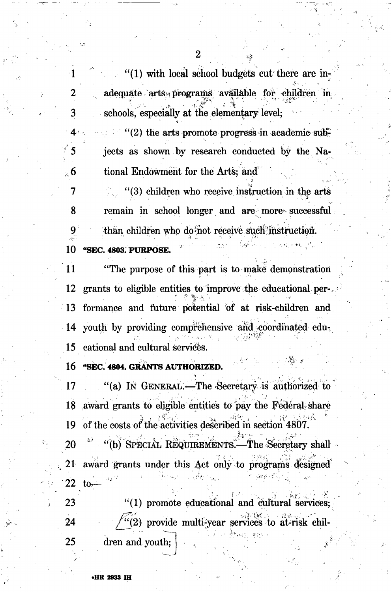$''(1)$  with local school budgets cut there are inadequate arts programs available for children in schools, especially at the elementary level;

 $\cdot$  (2) the arts promote progress in academic subjects as shown by research conducted by the National Endowment for the Arts; and

7  $(3)$  children who receive instruction in the arts 8 remain in school longer and are more successful than children who do not receive such instruction. "SEC. 4803. PURPOSE. 10

11 "The purpose of this part is to make demonstration" 12 grants to eligible entities to improve the educational per-13 formance and future potential of at risk-children and youth by providing comprehensive and coordinated edu- $-14$ cational and cultural services. 15

"SEC. 4804. GRANTS AUTHORIZED. 16

-1

2

3

 $\mathbf{4}$ 

 $_{\odot}$  6

17 "(a) IN GENERAL.—The Secretary is authorized to award grants to eligible entities to pay the Federal share 18 of the costs of the activities described in section 4807. 19

20 "(b) SPECIAL REQUIREMENTS.—The Secretary shall 21 award grants under this Act only to programs designed 22 to-

23 "(1) promote educational and cultural services; "(2) provide multi-year services to at-risk chil-24 25 dren and youth;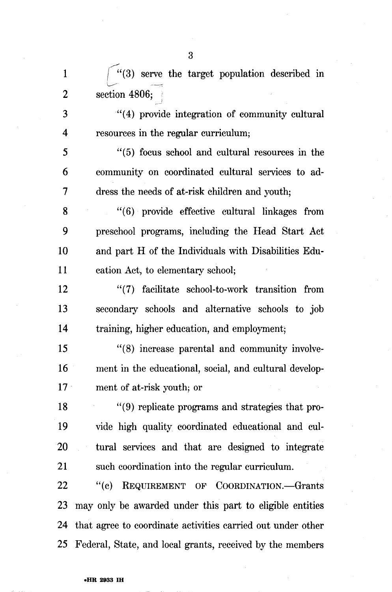1  $\int_{0}^{1}$  /(3) serve the target population described in ' 2 section 4806; I

3 "( 4) provide integration of community cultural 4 resources in the regular curriculum;

5 " ( 5) focus school and cultural resources in the 6 community on coordinated cultural services to ad-7 dress the needs of at-risk children and youth;

8 "(6) provide effective cultural linkages from 9 preschool programs, including the Head Start Act 10 and part H of the Individuals with Disabilities Edu-11 cation Act, to elementary school;

12 "(7) facilitate school-to-work transition from 13 secondary schools and alternative schools to job 14 training, higher education, and employment;

15 "(8) increase parental and community involve-16 ment in the educational, social, and cultural develop-17 **ment of at-risk youth; or** 

18 "(9) replicate programs and strategies that pro-19 vide high quality coordinated educational and cul-20 tural services and that are designed to integrate 21 such coordination into the regular curriculum.

22 "(c) REQUIREMENT OF COORDINATION.—Grants 23 may only be awarded under this part to eligible entities 24 that agree to coordinate activities carried out under other 25 Federal, State, and local grants, received by the members

#### •HR 2933 IH

3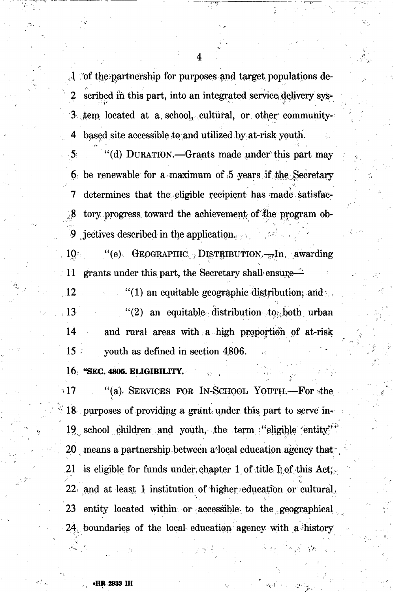$\mathcal{A}$  of the partnership for purposes and target populations described in this part, into an integrated service delivery sys-3 tem located at a school, cultural, or other community-4 based site accessible to and utilized by at-risk youth.

"(d) DURATION. Grants made under this part may 6 be renewable for a maximum of 5 years if the Secretary determines that the eligible recipient has made satisfac-7 tory progress toward the achievement of the program ob-8 jectives described in the application.  $\mathbf{Q}$ 

"(e) GEOGRAPHIC DISTRIBUTION.  $\overline{F}$ . awarding  $10$ grants under this part, the Secretary shall ensure ं 11

 $12$  $\lq(1)$  an equitable geographic distribution; and 13 "(2) an equitable distribution to both urban  $14$ and rural areas with a high proportion of at-risk  $15<sup>2</sup>$ youth as defined in section 4806.

16 "SEC. 4805. ELIGIBILITY.

"(a) SERVICES FOR IN-SCHOOL YOUTH.-For the  $\cdot$  17 18 purposes of providing a grant under this part to serve in-19 school children and youth, the term "eligible entity" 20 means a partnership between a local education agency that 21 is eligible for funds under chapter 1 of title  $I_{\mathbb{R}}$  of this Act, 22 and at least 1 institution of higher education or cultural. 23 entity located within or accessible to the geographical 24 boundaries of the local education agency with a history

4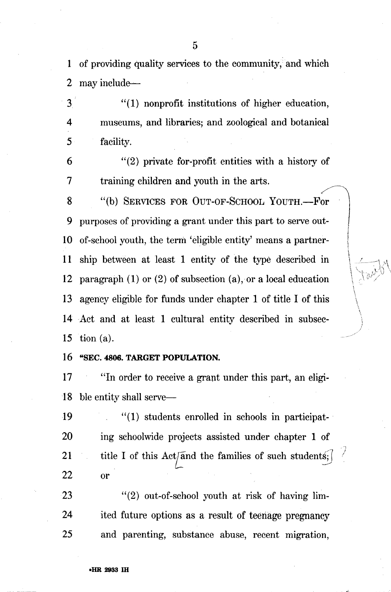1 of providing quality services to the community, and which 2 may include-

3 "(1) nonprofit institutions of higher education, 4 museums, and libraries; and zoological and botanical 5 facility.

 $6$  "(2) private for-profit entities with a history of 7 training children and youth in the arts.

> $\overline{\phantom{a}}$ I arramanan<br>I  $\frac{1}{2}$ i  $\vert \ \vert$  $\mathfrak{h}$ ' l, ,,

 $\mathcal{M}_\mathrm{c}$ 

8 "(b) SERVICES FOR OUT-OF-SCHOOL YOUTH.---For 9 purposes of providing a grant under this part to serve out-10 of-school youth, the term 'eligible entity' means a partner-11 ship between at least 1 entity of the type described in 12 paragraph (1) or (2) of subsection (a), or a local education 13 agency eligible for funds under chapter 1 of title I of this 14 Act and at least 1 cultural entity described in subsec-15 tion (a).

16 "SEC. 4806. TARGET POPULATION.

17 "In order to receive a grant under this part, an eligi-18 ble entity shall serve—

 $19$  "(1) students enrolled in schools in participat-20 ing schoolwide projects assisted under chapter 1 of 21 title I of this Act<sup> $\pi$ </sup> and the families of such students; 22 or

23 "(2) out-of-school youth at risk of having lim-24 ited future options as a result of teenage pregnancy 25 and parenting, substance abuse, recent migration,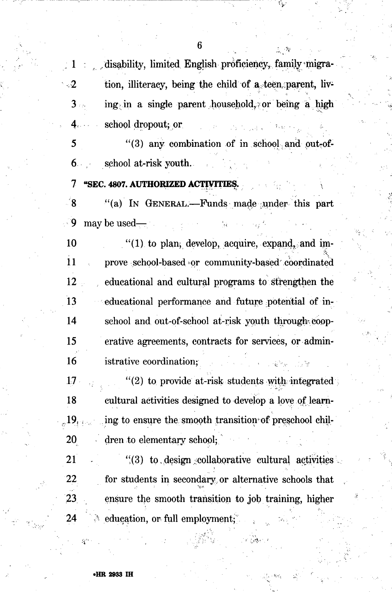disability, limited English proficiency, family migra- $\cdot 2$ tion, illiteracy, being the child of a teen parent, living in a single parent household, or being a high  $3$ school dropout: or

"(3) any combination of in school and out-of-5 school at-risk youth.  $6.$ 

 $7\phantom{.}$ "SEC. 4807. AUTHORIZED ACTIVITIES.

୍ଥ "(a) In GENERAL.—Funds made under this part ු 9  $\frac{1}{2}$  may be used—

 $"(1)$  to plan, develop, acquire, expand, and im-10 11 prove school-based or community-based coordinated 12 educational and cultural programs to strengthen the 13 educational performance and future potential of in-14 school and out-of-school at-risk youth through coop-15 erative agreements, contracts for services, or admin-16 istrative coordination;

17 "(2) to provide at-risk students with integrated 18 cultural activities designed to develop a love of learning to ensure the smooth transition of preschool chil- $_{\odot}$  19. 20 dren to elementary school;

21  $\binom{11}{2}$  to design collaborative cultural activities 22 for students in secondary or alternative schools that 23 ensure the smooth transition to job training, higher education, or full employment; 24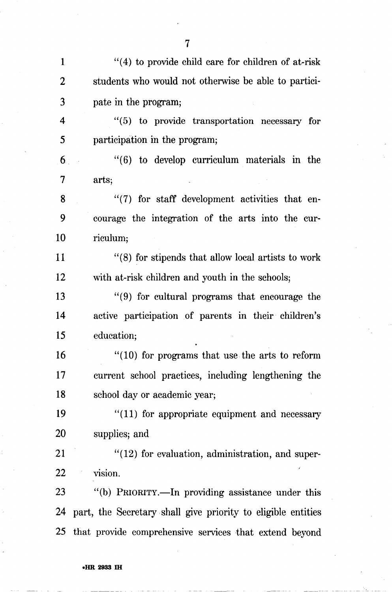1 "(4) to provide child care for children of at-risk 2 students who would not otherwise be able to partici-3 pate in the program; 4 " ( 5) to provide transportation necessary for 5 participation in the program;  $6$  " (6) to develop curriculum materials in the 7 arts; 8 "(7) for staff development activities that en-9 courage the integration of the arts into the cur-10 riculum; 11 " (8) for stipends that allow local artists to work 12 with at-risk children and youth in the schools; 13 "(9) for cultural programs that encourage the 14 active participation of parents in their children's 15 education; 16 "(10) for programs that use the arts to reform 17 current school practices, including lengthening the 18 school day or academic year; 19 "(11) for appropriate equipment and necessary 20 supplies; and 21 "(12) for evaluation, administration, and super-22 vision. 23 "(b) PRIORITY.—In providing assistance under this 24 part, the Secretary shall give priority to eligible entities 25 that provide comprehensive services that extend beyond

7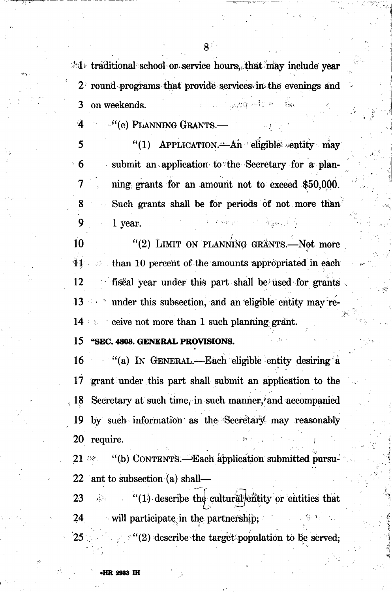$\pm 1$  traditional school or service hours, that may include year 2 round programs that provide services in the evenings and with often the on weekends. 3

"(c) PLANNING GRANTS. - 4

"(1) APPLICATION. An eligible entity may 5  $\blacksquare$  6 submit an application to the Secretary for a planning grants for an amount not to exceed \$50,000. 7 Such grants shall be for periods of not more than 8 an sa gregoria 9 1 year.

"(2) LIMIT ON PLANNING GRANTS.-Not more 10 than 10 percent of the amounts appropriated in each  ${\bf 41}$  .  $\mathbb{Z}/\mathbb{Z}^2$ 12 fiscal year under this part shall be used for grants 13 and 13 and 13 and 13 and 13 and 13 and 13 and 14 and 15 and 16 and 16 and 16 and 16 and 16 and 16 and 16 and 16 and 16 and 16 and 16 and 16 and 16 and 16 and 16 and 16 and 16 and 16 and 16 and 16 and 16 and 16 and 16 an 14 eive not more than 1 such planning grant.

"SEC. 4808. GENERAL PROVISIONS. 15

"(a) IN GENERAL.—Each eligible entity desiring a 16 17 grant under this part shall submit an application to the Secretary at such time, in such manner, and accompanied  $\,cdot\,18$ by such information as the Secretary may reasonably 19 **20** require.

"(b) CONTENTS.—Each application submitted pursu- $21$  Me ant to subsection (a) shall-22

"(1) describe the cultural entities that 23  $\alpha$  to 24 will participate in the partnership;

<sup>o</sup>"(2) describe the target population to be served; 25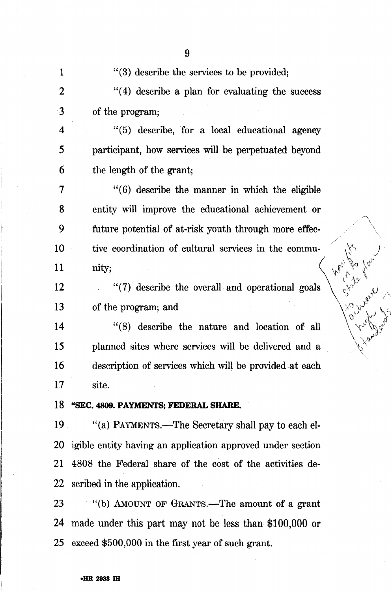| 1  | "(3) describe the services to be provided;                    |  |
|----|---------------------------------------------------------------|--|
| 2  | $\cdot$ (4) describe a plan for evaluating the success        |  |
| 3  | of the program;                                               |  |
| 4  | $\lq(5)$ describe, for a local educational agency             |  |
| 5  | participant, how services will be perpetuated beyond          |  |
| 6  | the length of the grant;                                      |  |
| 7  | $"(6)$ describe the manner in which the eligible              |  |
| 8  | entity will improve the educational achievement or            |  |
| 9  | future potential of at-risk youth through more effec-         |  |
| 10 | tive coordination of cultural services in the commu-          |  |
| 11 | nity;                                                         |  |
| 12 | "(7) describe the overall and operational goals               |  |
| 13 | of the program; and                                           |  |
| 14 | "(8) describe the nature and location of all                  |  |
| 15 | planned sites where services will be delivered and a          |  |
| 16 | description of services which will be provided at each        |  |
| 17 | site.                                                         |  |
|    | 18 "SEC. 4809. PAYMENTS; FEDERAL SHARE.                       |  |
|    | 19 "(a) PAYMENTS.—The Secretary shall pay to each el-         |  |
|    | 20 igible entity having an application approved under section |  |
|    | 21 4808 the Federal share of the cost of the activities de-   |  |
|    | 22 seribed in the application.                                |  |
| 23 | ""(b) AMOUNT OF GRANTS.—The amount of a grant                 |  |
|    | 24 made under this part may not be less than \$100,000 or     |  |
|    | 25 exceed \$500,000 in the first year of such grant.          |  |

lent le

# 9

#### •HR 2933 IH